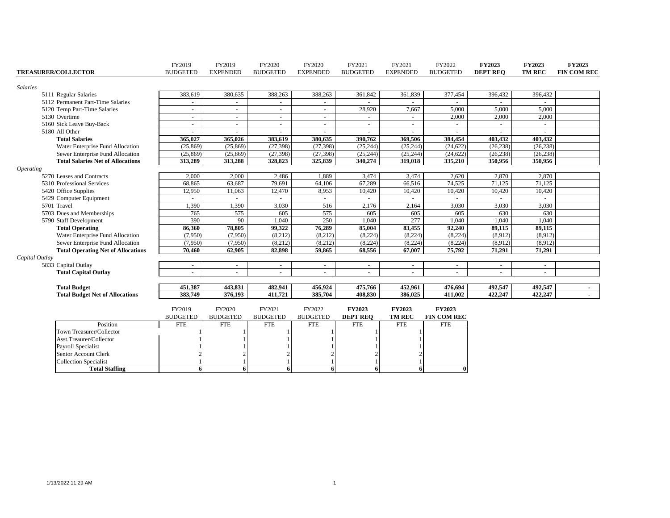| <b>TREASURER/COLLECTOR</b><br><b>BUDGETED</b><br><b>EXPENDED</b><br><b>BUDGETED</b><br><b>EXPENDED</b><br><b>BUDGETED</b><br><b>EXPENDED</b><br><b>BUDGETED</b><br><b>DEPT REO</b><br><b>TM REC</b><br><b>Salaries</b><br>383,619<br>380,635<br>388,263<br>388,263<br>361,842<br>361,839<br>377,454<br>396,432<br>396,432<br>5111 Regular Salaries<br>5112 Permanent Part-Time Salaries<br>$\sim$<br>$\overline{\phantom{a}}$<br>$\overline{\phantom{a}}$<br>$\sim$<br>$\sim$<br>$\sim$<br>$\sim$<br>ш.<br>$\sim$<br>28,920<br>7,667<br>5,000<br>5,000<br>5,000<br>5120 Temp Part-Time Salaries<br>$\overline{\phantom{a}}$<br>$\sim$<br>$\sim$<br>$\overline{\phantom{a}}$ | <b>FIN COM REC</b> |
|-----------------------------------------------------------------------------------------------------------------------------------------------------------------------------------------------------------------------------------------------------------------------------------------------------------------------------------------------------------------------------------------------------------------------------------------------------------------------------------------------------------------------------------------------------------------------------------------------------------------------------------------------------------------------------|--------------------|
|                                                                                                                                                                                                                                                                                                                                                                                                                                                                                                                                                                                                                                                                             |                    |
|                                                                                                                                                                                                                                                                                                                                                                                                                                                                                                                                                                                                                                                                             |                    |
|                                                                                                                                                                                                                                                                                                                                                                                                                                                                                                                                                                                                                                                                             |                    |
|                                                                                                                                                                                                                                                                                                                                                                                                                                                                                                                                                                                                                                                                             |                    |
|                                                                                                                                                                                                                                                                                                                                                                                                                                                                                                                                                                                                                                                                             |                    |
| 2,000<br>5130 Overtime<br>2,000<br>2,000<br>$\sim$<br>$\sim$<br>$\sim$                                                                                                                                                                                                                                                                                                                                                                                                                                                                                                                                                                                                      |                    |
| 5160 Sick Leave Buy-Back<br>$\overline{\phantom{a}}$<br>$\overline{\phantom{a}}$<br>$\sim$<br>$\sim$<br>$\overline{\phantom{a}}$<br>$\overline{\phantom{a}}$<br>$\sim$                                                                                                                                                                                                                                                                                                                                                                                                                                                                                                      |                    |
| 5180 All Other                                                                                                                                                                                                                                                                                                                                                                                                                                                                                                                                                                                                                                                              |                    |
| 383,619<br>390.762<br>403.432<br>403.432<br><b>Total Salaries</b><br>365,027<br>365,026<br>380.635<br>369,506<br>384,454                                                                                                                                                                                                                                                                                                                                                                                                                                                                                                                                                    |                    |
| (25, 869)<br>(27, 398)<br>(27, 398)<br>(26, 238)<br>Water Enterprise Fund Allocation<br>(25, 869)<br>(25, 244)<br>(25, 244)<br>(24, 622)<br>(26, 238)                                                                                                                                                                                                                                                                                                                                                                                                                                                                                                                       |                    |
| (27, 398)<br>(25, 244)<br>(25, 244)<br>(25, 869)<br>(25,869)<br>(27, 398)<br>(24, 622)<br>(26, 238)<br>(26, 238)<br>Sewer Enterprise Fund Allocation                                                                                                                                                                                                                                                                                                                                                                                                                                                                                                                        |                    |
| 313,288<br>328,823<br>325,839<br>340,274<br>335,210<br>350,956<br>350,956<br><b>Total Salaries Net of Allocations</b><br>313,289<br>319,018                                                                                                                                                                                                                                                                                                                                                                                                                                                                                                                                 |                    |
| <i><b>Operating</b></i>                                                                                                                                                                                                                                                                                                                                                                                                                                                                                                                                                                                                                                                     |                    |
| 2,870<br>5270 Leases and Contracts<br>2,000<br>2,000<br>2,486<br>1,889<br>3,474<br>3,474<br>2,620<br>2,870                                                                                                                                                                                                                                                                                                                                                                                                                                                                                                                                                                  |                    |
| 68,865<br>63,687<br>79,691<br>64,106<br>67,289<br>66,516<br>74,525<br>71,125<br>71,125<br>5310 Professional Services                                                                                                                                                                                                                                                                                                                                                                                                                                                                                                                                                        |                    |
| 12,950<br>12,470<br>8,953<br>10,420<br>10,420<br>5420 Office Supplies<br>11,063<br>10,420<br>10,420<br>10,420                                                                                                                                                                                                                                                                                                                                                                                                                                                                                                                                                               |                    |
| 5429 Computer Equipment                                                                                                                                                                                                                                                                                                                                                                                                                                                                                                                                                                                                                                                     |                    |
| 516<br>5701 Travel<br>1,390<br>1,390<br>3,030<br>2,176<br>2,164<br>3,030<br>3,030<br>3,030                                                                                                                                                                                                                                                                                                                                                                                                                                                                                                                                                                                  |                    |
| 575<br>575<br>5703 Dues and Memberships<br>765<br>605<br>605<br>605<br>605<br>630<br>630                                                                                                                                                                                                                                                                                                                                                                                                                                                                                                                                                                                    |                    |
| 277<br>390<br>90<br>1,040<br>250<br>1,040<br>1,040<br>1,040<br>1,040<br>5790 Staff Development                                                                                                                                                                                                                                                                                                                                                                                                                                                                                                                                                                              |                    |
| 76,289<br>85,004<br>83,455<br>89,115<br>86,360<br>78,805<br>99,322<br>92,240<br>89,115<br><b>Total Operating</b>                                                                                                                                                                                                                                                                                                                                                                                                                                                                                                                                                            |                    |
| (8,212)<br>(8,212)<br>(8,224)<br>(8,224)<br>(8,912)<br>(7,950)<br>(7,950)<br>(8,224)<br>(8,912)<br>Water Enterprise Fund Allocation                                                                                                                                                                                                                                                                                                                                                                                                                                                                                                                                         |                    |
| Sewer Enterprise Fund Allocation<br>(8,212)<br>(8,212)<br>(8,224)<br>(8,224)<br>(8,224)<br>(8,912)<br>(7,950)<br>(7,950)<br>(8,912)                                                                                                                                                                                                                                                                                                                                                                                                                                                                                                                                         |                    |
| 62,905<br>82.898<br>59.865<br>68,556<br>67,007<br>75,792<br>71,291<br>71,291<br><b>Total Operating Net of Allocations</b><br>70,460                                                                                                                                                                                                                                                                                                                                                                                                                                                                                                                                         |                    |
| Capital Outlay                                                                                                                                                                                                                                                                                                                                                                                                                                                                                                                                                                                                                                                              |                    |
| 5833 Capital Outlay<br>$\sim$<br>$\sim$<br>$\overline{\phantom{a}}$<br>$\sim$<br>$\blacksquare$<br>$\overline{\phantom{a}}$<br>$\blacksquare$<br>$\overline{\phantom{a}}$<br>$\overline{\phantom{a}}$                                                                                                                                                                                                                                                                                                                                                                                                                                                                       |                    |
| <b>Total Capital Outlay</b>                                                                                                                                                                                                                                                                                                                                                                                                                                                                                                                                                                                                                                                 |                    |
| 451,387<br>443,831<br>482,941<br>456,924<br>475,766<br>452,961<br>492,547<br>492,547<br><b>Total Budget</b><br>476,694                                                                                                                                                                                                                                                                                                                                                                                                                                                                                                                                                      | $\sim$ 10 $\pm$    |
| 383,749<br>422,247<br>376,193<br>411,721<br>385,704<br>408,830<br>386,025<br>411,002<br>422,247<br><b>Total Budget Net of Allocations</b>                                                                                                                                                                                                                                                                                                                                                                                                                                                                                                                                   |                    |
|                                                                                                                                                                                                                                                                                                                                                                                                                                                                                                                                                                                                                                                                             |                    |
| FY2019<br>FY2020<br>FY2021<br>FY2022<br>FY2023<br><b>FY2023</b><br><b>FY2023</b>                                                                                                                                                                                                                                                                                                                                                                                                                                                                                                                                                                                            |                    |
| <b>TM REC</b><br>FIN COM REC<br><b>BUDGETED</b><br><b>BUDGETED</b><br><b>BUDGETED</b><br><b>BUDGETED</b><br><b>DEPT REO</b>                                                                                                                                                                                                                                                                                                                                                                                                                                                                                                                                                 |                    |
| Position<br><b>FTE</b><br><b>FTE</b><br><b>FTE</b><br><b>FTE</b><br><b>FTE</b><br><b>FTE</b><br><b>FTE</b>                                                                                                                                                                                                                                                                                                                                                                                                                                                                                                                                                                  |                    |
| Town Treasurer/Collector                                                                                                                                                                                                                                                                                                                                                                                                                                                                                                                                                                                                                                                    |                    |
| Asst.Treaurer/Collector                                                                                                                                                                                                                                                                                                                                                                                                                                                                                                                                                                                                                                                     |                    |
| Payroll Specialist                                                                                                                                                                                                                                                                                                                                                                                                                                                                                                                                                                                                                                                          |                    |
| Senior Account Clerk                                                                                                                                                                                                                                                                                                                                                                                                                                                                                                                                                                                                                                                        |                    |
| Collection Specialist                                                                                                                                                                                                                                                                                                                                                                                                                                                                                                                                                                                                                                                       |                    |
| $\theta$<br><b>Total Staffing</b><br>6<br>6<br>6<br>6<br>61<br>6                                                                                                                                                                                                                                                                                                                                                                                                                                                                                                                                                                                                            |                    |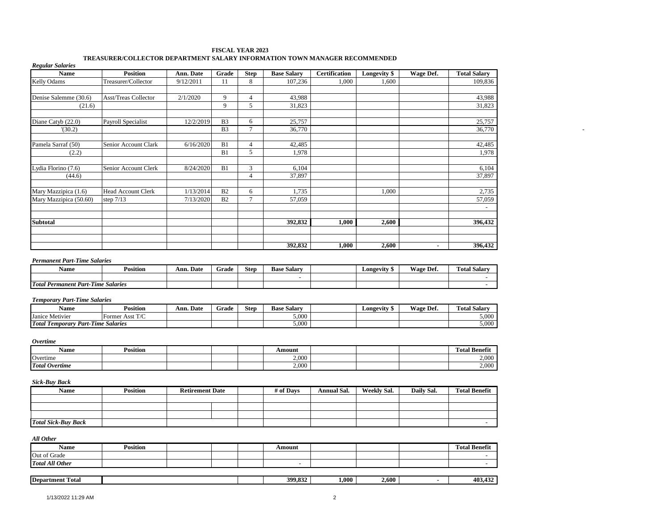| <b>Regular Salaries</b> |                           |           |                |             | <u> val ban iallisti ja pianialli aite valitilaituvi tuvi illisti ja valitilaiduvud valitilait</u> |                      |              |           |                          |
|-------------------------|---------------------------|-----------|----------------|-------------|----------------------------------------------------------------------------------------------------|----------------------|--------------|-----------|--------------------------|
| Name                    | <b>Position</b>           | Ann. Date | Grade          | <b>Step</b> | <b>Base Salary</b>                                                                                 | <b>Certification</b> | Longevity \$ | Wage Def. | <b>Total Salary</b>      |
| Kelly Odams             | Treasurer/Collector       | 9/12/2011 | 11             | 8           | 107,236                                                                                            | 1,000                | 1,600        |           | 109,836                  |
|                         |                           |           |                |             |                                                                                                    |                      |              |           |                          |
| Denise Salemme (30.6)   | Asst/Treas Collector      | 2/1/2020  | 9              | 4           | 43,988                                                                                             |                      |              |           | 43,988                   |
| (21.6)                  |                           |           | 9              | 5           | 31,823                                                                                             |                      |              |           | 31,823                   |
| Diane Catyb (22.0)      | Payroll Specialist        | 12/2/2019 | B <sub>3</sub> | 6           | 25,757                                                                                             |                      |              |           | 25,757                   |
| (30.2)                  |                           |           | B <sub>3</sub> |             | 36,770                                                                                             |                      |              |           | 36,770                   |
| Pamela Sarraf (50)      | Senior Account Clark      | 6/16/2020 | B1             | 4           | 42,485                                                                                             |                      |              |           | 42,485                   |
| (2.2)                   |                           |           | B1             | 5           | 1,978                                                                                              |                      |              |           | 1,978                    |
|                         |                           |           |                |             |                                                                                                    |                      |              |           |                          |
| Lydia Florino (7.6)     | Senior Account Clerk      | 8/24/2020 | B1             | 3           | 6,104                                                                                              |                      |              |           | 6,104                    |
| (44.6)                  |                           |           |                | 4           | 37,897                                                                                             |                      |              |           | 37,897                   |
| Mary Mazzipica (1.6)    | <b>Head Account Clerk</b> | 1/13/2014 | B2             | 6           | 1,735                                                                                              |                      | 1,000        |           | 2,735                    |
| Mary Mazzipica (50.60)  | step $7/13$               | 7/13/2020 | B2             |             | 57,059                                                                                             |                      |              |           | 57,059                   |
|                         |                           |           |                |             |                                                                                                    |                      |              |           | $\overline{\phantom{a}}$ |
| <b>Subtotal</b>         |                           |           |                |             | 392,832                                                                                            | 1,000                | 2,600        |           | 396,432                  |
|                         |                           |           |                |             |                                                                                                    |                      |              |           |                          |
|                         |                           |           |                |             |                                                                                                    |                      |              |           |                          |
|                         |                           |           |                |             | 392,832                                                                                            | 1,000                | 2,600        | ж.        | 396,432                  |

#### **FISCAL YEAR 2023 TREASURER/COLLECTOR DEPARTMENT SALARY INFORMATION TOWN MANAGER RECOMMENDED**

#### *Permanent Part-Time Salaries*

| Name                                                              | <b>Position</b> | Ann. Date | -<br>Grade | <b>Step</b> | <b>Base Salary</b> | Longevity | Wage.<br>Def. | no.<br><b><i><u>fotal Salarv</u></i></b> |
|-------------------------------------------------------------------|-----------------|-----------|------------|-------------|--------------------|-----------|---------------|------------------------------------------|
|                                                                   |                 |           |            |             |                    |           |               |                                          |
| <b>Total</b><br>$\mathbf{r}$<br>Permanent Part-<br>-Time Salaries |                 |           |            |             |                    |           |               |                                          |

#### *Temporary Part-Time Salaries*

| Name                                                            | <b>Position</b>         | Ann. Date | -<br>Grade | <b>Step</b> | <b>Base Salary</b> | <b>Longevity</b> 5 | Wage Def. | m.<br><b>Fotal Salary</b> |
|-----------------------------------------------------------------|-------------------------|-----------|------------|-------------|--------------------|--------------------|-----------|---------------------------|
| $\sim$<br>Janice<br>Metivier                                    | $-$<br>Former<br>: Assi |           |            |             | 5.000              |                    |           | 5.000                     |
| <b>Total Temporary</b><br>ren v<br>Part-Time<br><b>Salaries</b> |                         |           |            |             | 5.000              |                    |           | 5,000                     |

#### *Overtime*

| Name                  | $\cdot \cdot$<br>Position |  | Amount |  | Total Benefi   |
|-----------------------|---------------------------|--|--------|--|----------------|
| Overtime              |                           |  | 2.000  |  | 2.000<br>∠,∪∪∪ |
| <b>Total Overtime</b> |                           |  | 2.000  |  | 2,000          |

#### *Sick-Buy Back*

| Name                       | <b>Position</b> | <b>Retirement Date</b> | # of Days | Annual Sal. | Weekly Sal. | Daily Sal. | <b>Total Benefit</b> |
|----------------------------|-----------------|------------------------|-----------|-------------|-------------|------------|----------------------|
|                            |                 |                        |           |             |             |            |                      |
|                            |                 |                        |           |             |             |            |                      |
|                            |                 |                        |           |             |             |            |                      |
| <b>Total Sick-Buy Back</b> |                 |                        |           |             |             |            |                      |

#### *All Other*

| <b>STATE</b><br><b>IDepar</b><br>`otal<br>tment |  | - 200 C | $.000\,$ | - 60° | 40° |
|-------------------------------------------------|--|---------|----------|-------|-----|
|                                                 |  |         |          |       |     |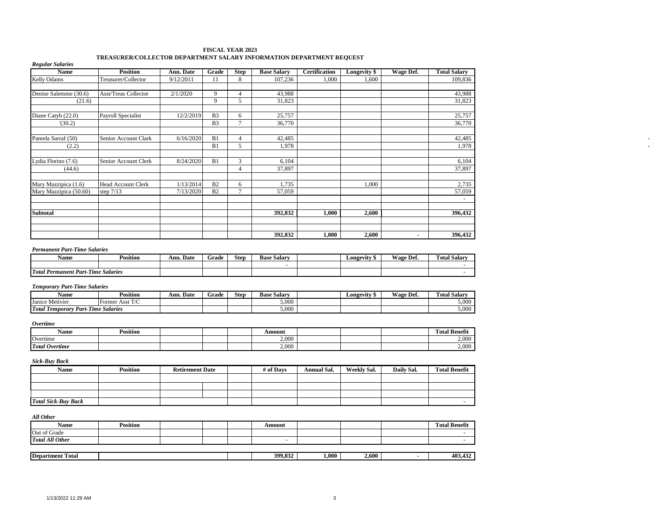| Name                                      | <b>Position</b>             | Ann. Date              | Grade          | Step            | <b>Base Salary</b>           | <b>Certification</b> | <b>Longevity</b> \$ | <b>Wage Def.</b> | <b>Total Salary</b>           |
|-------------------------------------------|-----------------------------|------------------------|----------------|-----------------|------------------------------|----------------------|---------------------|------------------|-------------------------------|
| Kelly Odams                               | Treasurer/Collector         | 9/12/2011              | 11             | 8               | 107,236                      | 1,000                | 1,600               |                  | 109,836                       |
|                                           |                             |                        |                |                 |                              |                      |                     |                  |                               |
| Denise Salemme (30.6)                     | <b>Asst/Treas Collector</b> | 2/1/2020               | 9              | $\overline{4}$  | 43,988                       |                      |                     |                  | 43,988                        |
| (21.6)                                    |                             |                        | 9              | 5               | 31,823                       |                      |                     |                  | 31,823                        |
|                                           |                             |                        |                |                 |                              |                      |                     |                  |                               |
| Diane Catyb (22.0)                        | <b>Payroll Specialist</b>   | 12/2/2019              | B <sub>3</sub> | 6               | 25,757                       |                      |                     |                  | 25,757                        |
| (30.2)                                    |                             |                        | B <sub>3</sub> | $7\phantom{.0}$ | 36,770                       |                      |                     |                  | 36,770                        |
|                                           |                             |                        |                |                 |                              |                      |                     |                  |                               |
| Pamela Sarraf (50)                        | Senior Account Clark        | 6/16/2020              | B1             | $\overline{4}$  | 42,485                       |                      |                     |                  | 42,485                        |
| (2.2)                                     |                             |                        | B1             | $\overline{5}$  | 1,978                        |                      |                     |                  | 1,978                         |
|                                           |                             |                        |                |                 |                              |                      |                     |                  |                               |
| Lydia Florino (7.6)                       | Senior Account Clerk        | 8/24/2020              | B1             | $\overline{3}$  | 6,104                        |                      |                     |                  | 6,104                         |
| (44.6)                                    |                             |                        |                | $\overline{4}$  | 37,897                       |                      |                     |                  | 37,897                        |
|                                           |                             |                        |                |                 |                              |                      |                     |                  |                               |
| Mary Mazzipica (1.6)                      | Head Account Clerk          | 1/13/2014              | B2             | 6               | 1,735                        |                      | 1,000               |                  | 2,735                         |
| Mary Mazzipica (50.60)                    | step $7/13$                 | 7/13/2020              | B2             | $7\phantom{.0}$ | 57,059                       |                      |                     |                  | 57,059                        |
|                                           |                             |                        |                |                 |                              |                      |                     |                  | $\omega$                      |
|                                           |                             |                        |                |                 |                              |                      |                     |                  |                               |
| Subtotal                                  |                             |                        |                |                 | 392,832                      | 1,000                | 2,600               |                  | 396,432                       |
|                                           |                             |                        |                |                 |                              |                      |                     |                  |                               |
|                                           |                             |                        |                |                 |                              |                      |                     |                  |                               |
|                                           |                             |                        |                |                 | 392,832                      | 1,000                | 2,600               | $\blacksquare$   | 396,432                       |
|                                           |                             |                        |                |                 |                              |                      |                     |                  |                               |
| <b>Permanent Part-Time Salaries</b>       |                             |                        |                |                 |                              |                      |                     |                  |                               |
| <b>Name</b>                               |                             | Ann. Date              |                |                 |                              |                      | <b>Longevity \$</b> |                  |                               |
|                                           | <b>Position</b>             |                        | Grade          | <b>Step</b>     | <b>Base Salary</b><br>$\sim$ |                      |                     | Wage Def.        | <b>Total Salary</b><br>$\sim$ |
| <b>Total Permanent Part-Time Salaries</b> |                             |                        |                |                 |                              |                      |                     |                  | $\sim$                        |
|                                           |                             |                        |                |                 |                              |                      |                     |                  |                               |
| <b>Temporary Part-Time Salaries</b>       |                             |                        |                |                 |                              |                      |                     |                  |                               |
| <b>Name</b>                               | <b>Position</b>             | Ann. Date              | Grade          | <b>Step</b>     | <b>Base Salary</b>           |                      | <b>Longevity</b> \$ | Wage Def.        | <b>Total Salary</b>           |
| Janice Metivier                           | Former Asst T/C             |                        |                |                 | 5,000                        |                      |                     |                  | 5,000                         |
| <b>Total Temporary Part-Time Salaries</b> |                             |                        |                |                 | 5,000                        |                      |                     |                  | 5,000                         |
|                                           |                             |                        |                |                 |                              |                      |                     |                  |                               |
| <b>Overtime</b>                           |                             |                        |                |                 |                              |                      |                     |                  |                               |
|                                           |                             |                        |                |                 |                              |                      |                     |                  |                               |
| Name                                      | <b>Position</b>             |                        |                |                 | Amount                       |                      |                     |                  | <b>Total Benefit</b>          |
| Overtime                                  |                             |                        |                |                 | 2,000                        |                      |                     |                  | 2,000                         |
| <b>Total Overtime</b>                     |                             |                        |                |                 | 2,000                        |                      |                     |                  | 2,000                         |
|                                           |                             |                        |                |                 |                              |                      |                     |                  |                               |
| <b>Sick-Buy Back</b>                      |                             |                        |                |                 |                              |                      |                     |                  |                               |
| Name                                      | <b>Position</b>             | <b>Retirement Date</b> |                |                 | # of Days                    | <b>Annual Sal.</b>   | <b>Weekly Sal.</b>  | Daily Sal.       | <b>Total Benefit</b>          |
|                                           |                             |                        |                |                 |                              |                      |                     |                  |                               |
|                                           |                             |                        |                |                 |                              |                      |                     |                  |                               |
|                                           |                             |                        |                |                 |                              |                      |                     |                  |                               |
| <b>Total Sick-Buy Back</b>                |                             |                        |                |                 |                              |                      |                     |                  | $\omega$                      |
|                                           |                             |                        |                |                 |                              |                      |                     |                  |                               |
| All Other                                 |                             |                        |                |                 |                              |                      |                     |                  |                               |
|                                           |                             |                        |                |                 |                              |                      |                     |                  |                               |
| <b>Name</b>                               | <b>Position</b>             |                        |                |                 | Amount                       |                      |                     |                  | <b>Total Benefit</b>          |
| Out of Grade                              |                             |                        |                |                 |                              |                      |                     |                  | $\overline{\phantom{a}}$      |
| <b>Total All Other</b>                    |                             |                        |                |                 | $\sim$                       |                      |                     |                  | $\mathcal{L}$                 |
|                                           |                             |                        |                |                 |                              |                      |                     |                  |                               |
| <b>Department Total</b>                   |                             |                        |                |                 | 399,832                      | 1,000                | 2,600               | $\blacksquare$   | 403,432                       |

#### **FISCAL YEAR 2023 TREASURER/COLLECTOR DEPARTMENT SALARY INFORMATION DEPARTMENT REQUEST**

*Regular Salaries*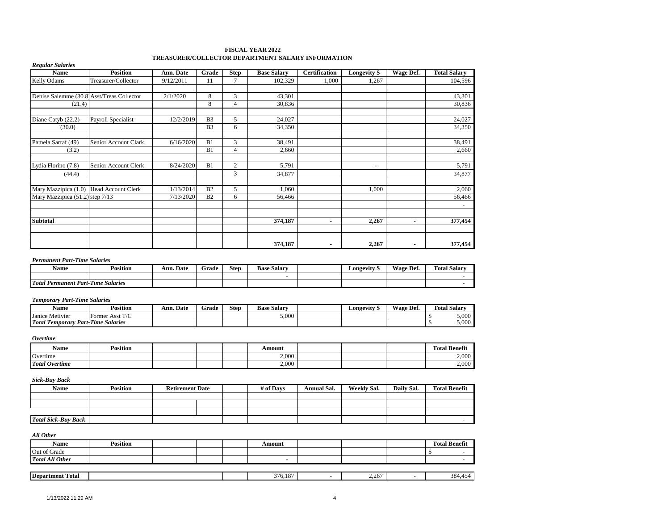| <b>Regular Salaries</b>                   |                      |           |                |                | TREADURER/COLLECTOR DEI ARTMENT BALART INFORMATION |                      |                          |           |                     |
|-------------------------------------------|----------------------|-----------|----------------|----------------|----------------------------------------------------|----------------------|--------------------------|-----------|---------------------|
| <b>Name</b>                               | <b>Position</b>      | Ann. Date | Grade          | <b>Step</b>    | <b>Base Salary</b>                                 | <b>Certification</b> | Longevity \$             | Wage Def. | <b>Total Salary</b> |
| Kelly Odams                               | Treasurer/Collector  | 9/12/2011 | 11             | 7              | 102,329                                            | 1,000                | 1,267                    |           | 104,596             |
| Denise Salemme (30.8 Asst/Treas Collector |                      | 2/1/2020  | 8              | 3              | 43,301                                             |                      |                          |           | 43,301              |
| (21.4)                                    |                      |           | 8              | $\overline{4}$ | 30,836                                             |                      |                          |           | 30,836              |
| Diane Catyb (22.2)                        | Payroll Specialist   | 12/2/2019 | B <sub>3</sub> | 5              | 24,027                                             |                      |                          |           | 24,027              |
| (30.0)                                    |                      |           | B <sub>3</sub> | 6              | 34,350                                             |                      |                          |           | 34,350              |
| Pamela Sarraf (49)                        | Senior Account Clark | 6/16/2020 | B1             | 3              | 38,491                                             |                      |                          |           | 38,491              |
| (3.2)                                     |                      |           | B1             | 4              | 2,660                                              |                      |                          |           | 2,660               |
| Lydia Florino (7.8)                       | Senior Account Clerk | 8/24/2020 | B1             | $\overline{c}$ | 5,791                                              |                      | $\overline{\phantom{a}}$ |           | 5,791               |
| (44.4)                                    |                      |           |                | 3              | 34,877                                             |                      |                          |           | 34,877              |
| Mary Mazzipica (1.0) Head Account Clerk   |                      | 1/13/2014 | B <sub>2</sub> | 5              | 1,060                                              |                      | 1,000                    |           | 2,060               |
| Mary Mazzipica (51.2) step 7/13           |                      | 7/13/2020 | B <sub>2</sub> | 6              | 56,466                                             |                      |                          |           | 56,466              |
|                                           |                      |           |                |                |                                                    |                      |                          |           |                     |
| <b>Subtotal</b>                           |                      |           |                |                | 374,187                                            | ٠                    | 2,267                    | ٠         | 377,454             |
|                                           |                      |           |                |                |                                                    |                      |                          |           |                     |
|                                           |                      |           |                |                | 374,187                                            | ٠                    | 2,267                    | ٠         | 377,454             |

#### **FISCAL YEAR 2022 TREASURER/COLLECTOR DEPARTMENT SALARY INFORMATION**

#### *Permanent Part-Time Salaries*

| Name                                                                   | Position | Ann.<br>Date | Grade | Step | <b>Base Salarv</b> | <b>Longevity</b> | Wage.<br>Det. | $\sim$<br>Total Salary |
|------------------------------------------------------------------------|----------|--------------|-------|------|--------------------|------------------|---------------|------------------------|
|                                                                        |          |              |       |      |                    |                  |               |                        |
| <b>Total</b><br>$-1$<br>l Permanent Part-'<br><b>Salaries</b><br>-Time |          |              |       |      |                    |                  |               |                        |

#### *Temporary Part-Time Salaries*

| Name                           | <b>Position</b>                | Ann.<br>Date | Grade | <b>Step</b> | Base<br>. Salarv | Longevity | Wage Def. | <b>CONTRACTOR</b><br>$\sim$ $\sim$<br>Fotal<br>. Salary |
|--------------------------------|--------------------------------|--------------|-------|-------------|------------------|-----------|-----------|---------------------------------------------------------|
| Janice Metivier                | T/C<br>Asst<br><b>Former</b>   |              |       |             | 5.000            |           |           | 5.000                                                   |
| Total T<br>Part-<br>. emporary | $-$<br><b>Salaries</b><br>Time |              |       |             |                  |           |           | 5.000                                                   |

#### *Overtime*

| $\cdot$ $\cdot$<br>Name | <b>Position</b> |  | Amount |  | $\mathbf{a}$<br><b>CONTRACTOR</b><br>Fotal Benefit |
|-------------------------|-----------------|--|--------|--|----------------------------------------------------|
| Overtime                |                 |  | 2.000  |  | 2,000                                              |
| <b>Total Overtime</b>   |                 |  | 2.000  |  | 2,000                                              |

#### *Sick-Buy Back*

| <b>Name</b>                | <b>Position</b> | <b>Retirement Date</b> | # of Days | <b>Annual Sal.</b> | <b>Weekly Sal.</b> | Daily Sal. | <b>Total Benefit</b> |
|----------------------------|-----------------|------------------------|-----------|--------------------|--------------------|------------|----------------------|
|                            |                 |                        |           |                    |                    |            |                      |
|                            |                 |                        |           |                    |                    |            |                      |
|                            |                 |                        |           |                    |                    |            |                      |
| <b>Total Sick-Buy Back</b> |                 |                        |           |                    |                    |            |                      |

| All Other               |                 |  |         |                          |       |                      |
|-------------------------|-----------------|--|---------|--------------------------|-------|----------------------|
| <b>Name</b>             | <b>Position</b> |  | Amount  |                          |       | <b>Total Benefit</b> |
| Out of Grade            |                 |  |         |                          |       |                      |
| <b>Total All Other</b>  |                 |  | -       |                          |       |                      |
|                         |                 |  |         |                          |       |                      |
| <b>Department Total</b> |                 |  | 376,187 | $\overline{\phantom{0}}$ | 2,267 | 384,454              |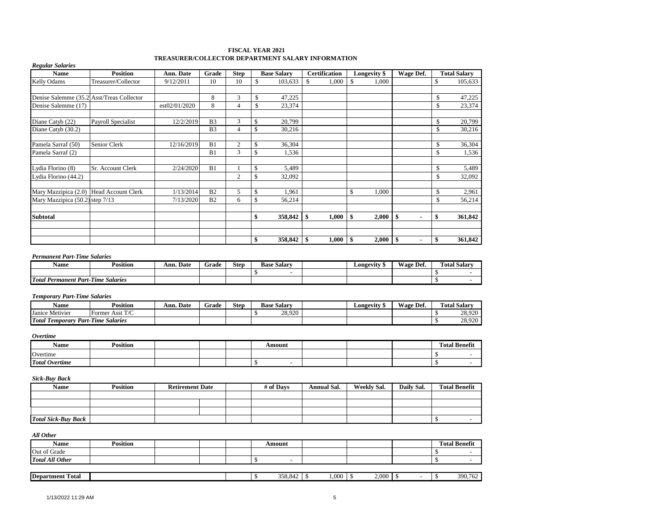#### **FISCAL YEAR 2021 TREASURER/COLLECTOR DEPARTMENT SALARY INFORMATION**

| <b>Position</b>                           | Ann. Date     | Grade          | <b>Step</b>    | <b>Base Salary</b> |              | <b>Certification</b> | Longevity \$ |         |           | <b>Total Salary</b> |
|-------------------------------------------|---------------|----------------|----------------|--------------------|--------------|----------------------|--------------|---------|-----------|---------------------|
| Treasurer/Collector                       | 9/12/2011     | 10             | 10             | \$<br>103,633      | $\mathbb{S}$ | 1,000                | \$<br>1.000  |         | \$        | 105,633             |
| Denise Salemme (35.2 Asst/Treas Collector |               | 8              | 3              | \$<br>47,225       |              |                      |              |         | \$        | 47,225              |
|                                           | est02/01/2020 | 8              | 4              | \$<br>23,374       |              |                      |              |         | \$        | 23,374              |
| Payroll Specialist                        | 12/2/2019     | B <sub>3</sub> | 3              | \$<br>20,799       |              |                      |              |         | \$        | 20,799              |
|                                           |               | B <sub>3</sub> | 4              | \$<br>30,216       |              |                      |              |         | \$        | 30,216              |
| Senior Clerk                              |               | B1             | 2              | \$<br>36,304       |              |                      |              |         | \$        | 36,304              |
|                                           |               | B1             | 3              | \$<br>1,536        |              |                      |              |         | \$        | 1,536               |
| Sr. Account Clerk                         | 2/24/2020     | B1             |                | \$<br>5,489        |              |                      |              |         | \$        | 5,489               |
|                                           |               |                | $\overline{2}$ | \$<br>32,092       |              |                      |              |         | \$        | 32,092              |
| Mary Mazzipica (2.0) Head Account Clerk   | 1/13/2014     | B <sub>2</sub> | 5              | \$<br>1,961        |              |                      | \$<br>1,000  |         | \$        | 2,961               |
| Mary Mazzipica (50.2) step 7/13           | 7/13/2020     | B <sub>2</sub> | 6              | \$<br>56,214       |              |                      |              |         | \$        | 56,214              |
|                                           |               |                |                | \$<br>358,842      | \$           | 1,000                | \$<br>2,000  | \$<br>۰ | \$        | 361,842             |
|                                           |               |                |                |                    |              |                      |              |         |           |                     |
|                                           |               |                |                | \$<br>358,842      | -\$          |                      | \$<br>2,000  | \$<br>٠ | \$        | 361,842             |
|                                           |               |                | 12/16/2019     |                    |              |                      | 1,000        |         | Wage Def. |                     |

| Name                             | $\cdots$<br>Position | Ann. Date | Grade | <b>Step</b> | Salarv<br>Base | Longevity | $\sim$<br>Wage.<br>Def. | <b>CONTRACTOR</b><br>Fotal Salarv |
|----------------------------------|----------------------|-----------|-------|-------------|----------------|-----------|-------------------------|-----------------------------------|
|                                  |                      |           |       |             |                |           |                         |                                   |
| <b>Total Permanent Part-Time</b> | Salaries             |           |       |             |                |           |                         |                                   |

#### *Temporary Part-Time Salaries*

| Name                                                                      | <b>Position</b>      | Ann. Date | Grade | <b>Step</b> | <b>Salary</b><br><b>Base</b> | Longevity | <b>Wage</b><br>Def. | <b>Total Salary</b> |
|---------------------------------------------------------------------------|----------------------|-----------|-------|-------------|------------------------------|-----------|---------------------|---------------------|
| Janice Metivier                                                           | Asst $T/C$<br>Former |           |       |             | 28.920                       |           |                     | 28.920              |
| <b>Total</b><br>1.001<br><b>Part-Time</b><br><b>Salaries</b><br>Temporary |                      |           |       |             |                              |           |                     | 28,920              |

*Overtime*

| Name                  | <b>Position</b> |  | Amount |  | $\overline{\phantom{a}}$<br>Total Benefit |
|-----------------------|-----------------|--|--------|--|-------------------------------------------|
| Overtime              |                 |  |        |  |                                           |
| <b>Total Overtime</b> |                 |  |        |  |                                           |

#### *Sick-Buy Back*

| <b>Name</b>                | <b>Position</b> | <b>Retirement Date</b> | # of Davs | <b>Annual Sal.</b> | Weekly Sal. | Daily Sal. | <b>Total Benefit</b> |
|----------------------------|-----------------|------------------------|-----------|--------------------|-------------|------------|----------------------|
|                            |                 |                        |           |                    |             |            |                      |
|                            |                 |                        |           |                    |             |            |                      |
|                            |                 |                        |           |                    |             |            |                      |
| <b>Total Sick-Buy Back</b> |                 |                        |           |                    |             |            |                      |

| All Other               |                 |  |  |         |       |       |                          |                      |
|-------------------------|-----------------|--|--|---------|-------|-------|--------------------------|----------------------|
| <b>Name</b>             | <b>Position</b> |  |  | Amount  |       |       |                          | <b>Total Benefit</b> |
| Out of Grade            |                 |  |  |         |       |       |                          |                      |
| <b>Total All Other</b>  |                 |  |  | -       |       |       |                          |                      |
|                         |                 |  |  |         |       |       |                          |                      |
| <b>Department Total</b> |                 |  |  | 358,842 | 1,000 | 2,000 | $\overline{\phantom{a}}$ | 390,762              |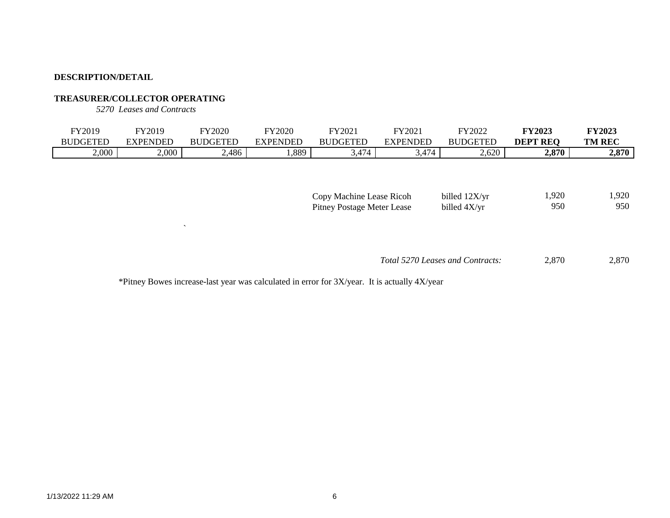# **TREASURER/COLLECTOR OPERATING**

*5270 Leases and Contracts*

 $\bar{\mathbf{v}}$ 

| FY2019          | FY2019   | <b>FY2020</b>   | <b>FY2020</b> | FY2021          | FY2021   | FY2022          | FY2023             | <b>FY2023</b> |
|-----------------|----------|-----------------|---------------|-----------------|----------|-----------------|--------------------|---------------|
| <b>BUDGETED</b> | EXPENDED | <b>BUDGETED</b> | EXPENDED      | <b>BUDGETED</b> | EXPENDED | <b>BUDGETED</b> | <b>REO</b><br>DEPT | <b>TM REC</b> |
| 2,000           | 2,000    | 2,486           | ,889          | ,474            | 474. د   | 2,620           | 2,870              | 2,870         |

| Copy Machine Lease Ricoh   | billed 12X/yr | 1.920 | 1,920 |
|----------------------------|---------------|-------|-------|
| Pitney Postage Meter Lease | billed 4X/yr  | 950   | 950   |

 2,870 2,870 *Total 5270 Leases and Contracts:*

\*Pitney Bowes increase-last year was calculated in error for 3X/year. It is actually 4X/year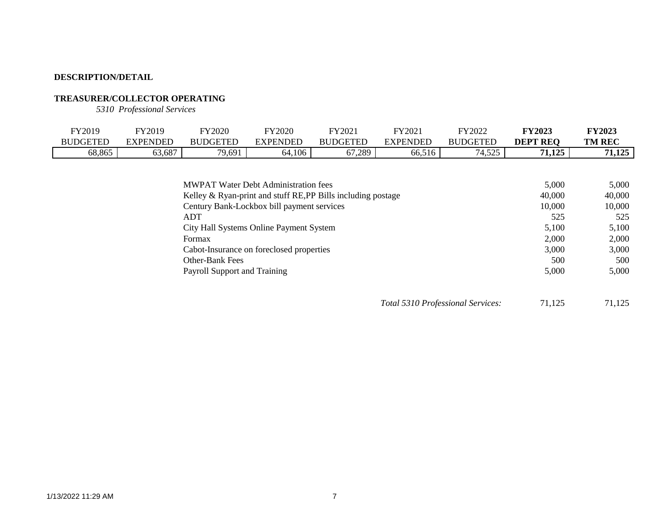# **TREASURER/COLLECTOR OPERATING**

*5310 Professional Services*

| FY2019          | FY2019          | <b>FY2020</b>   | FY2020   | FY2021          | FY202.          | FY2022                       | <b>FY2023</b>   | <b>FY2023</b> |
|-----------------|-----------------|-----------------|----------|-----------------|-----------------|------------------------------|-----------------|---------------|
| <b>BUDGETED</b> | <b>EXPENDED</b> | <b>BUDGETED</b> | EXPENDED | <b>BUDGETED</b> | <b>EXPENDED</b> | <b>BUDGETED</b>              | <b>DEPT REO</b> | <b>TM REC</b> |
| 68,865          | 63,687          | 79,691          | 64,106   | 67,289          | 66,516          | 505<br>$\sim$ $\sim$<br>ل⊿ب1 | 1,125<br>71     | /1,125        |
|                 |                 |                 |          |                 |                 |                              |                 |               |

| <b>MWPAT Water Debt Administration fees</b>                  | 5,000  | 5.000  |
|--------------------------------------------------------------|--------|--------|
| Kelley & Ryan-print and stuff RE, PP Bills including postage | 40,000 | 40,000 |
| Century Bank-Lockbox bill payment services                   | 10.000 | 10,000 |
| <b>ADT</b>                                                   | 525    | 525    |
| City Hall Systems Online Payment System                      | 5,100  | 5,100  |
| Formax                                                       | 2,000  | 2.000  |
| Cabot-Insurance on foreclosed properties                     | 3,000  | 3,000  |
| <b>Other-Bank Fees</b>                                       | 500    | 500    |
| Payroll Support and Training                                 | 5,000  | 5,000  |

*Total 5310 Professional Services:* 71,125 71,125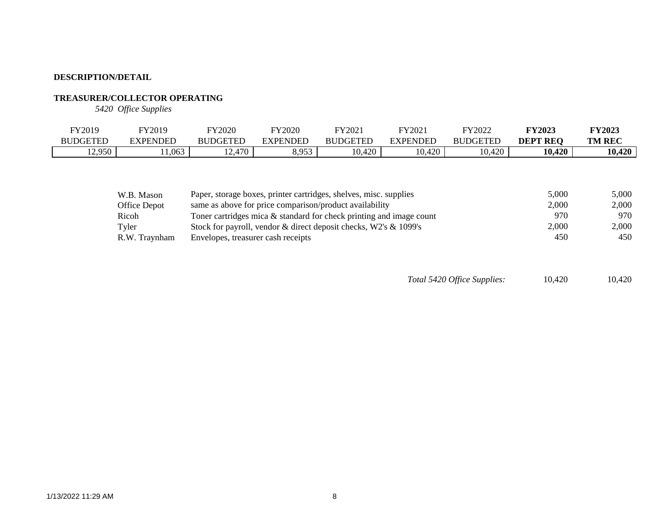## **TREASURER/COLLECTOR OPERATING**

*5420 Office Supplies*

| FY2019          | FY2019          | FY2020                         | FY2020          | FY2021          | Y2021    | FY2022          | <b>FY2023</b>   | <b>FY2023</b> |
|-----------------|-----------------|--------------------------------|-----------------|-----------------|----------|-----------------|-----------------|---------------|
| <b>BUDGETEL</b> | <b>EXPENDED</b> | <b>BUDGETED</b>                | <b>EXPENDED</b> | <b>BUDGETED</b> | EXPENDED | <b>BUDGETEL</b> | <b>DEPT REO</b> | <b>TM REC</b> |
| 12,950          | 1,063           | 470<br>$\sim$<br>.<br>$\cdots$ | 8 O 5 2<br>いいしつ | 0,420<br>$\sim$ | 10,420   | 10,420          | 10,420          | 10,420        |

| W.B. Mason    | Paper, storage boxes, printer cartridges, shelves, misc. supplies      | 5.000 | 5.000 |
|---------------|------------------------------------------------------------------------|-------|-------|
| Office Depot  | same as above for price comparison/product availability                | 2,000 | 2.000 |
| Ricoh         | Toner cartridges mica $\&$ standard for check printing and image count | 970   | 970   |
| Tyler         | Stock for payroll, vendor & direct deposit checks, W2's & 1099's       | 2.000 | 2.000 |
| R.W. Travnham | Envelopes, treasurer cash receipts                                     | 450   | 450   |

*Total 5420 Office Supplies:* 10,420 10,420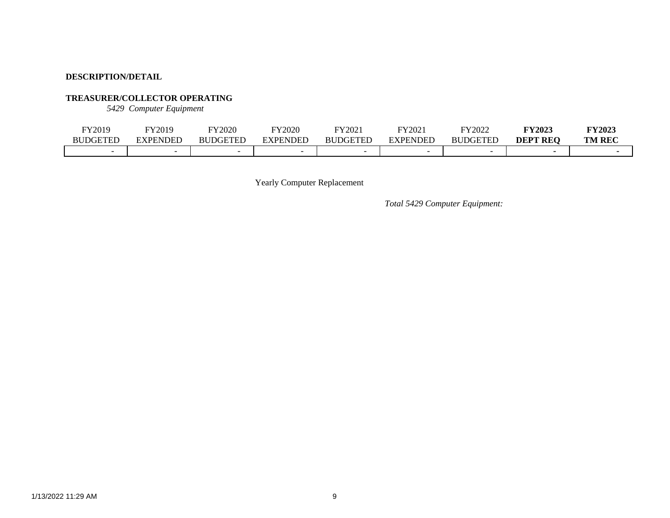### **TREASURER/COLLECTOR OPERATING**

*5429 Computer Equipment*

| FY2019   | FY2019   | FY2020          | FY2020        | FY2021          | FY202    | FY2022          | <b>FY2023</b>   | <b>FY2023</b> |
|----------|----------|-----------------|---------------|-----------------|----------|-----------------|-----------------|---------------|
| BUDGETED | EXPENDED | <b>BUDGETED</b> | .NDEE<br>. PF | <b>BUDGETED</b> | EXPENDED | <b>BUDGETED</b> | <b>DEPT REO</b> | <b>TM REC</b> |
| -        |          |                 |               |                 |          |                 |                 |               |

Yearly Computer Replacement

*Total 5429 Computer Equipment:*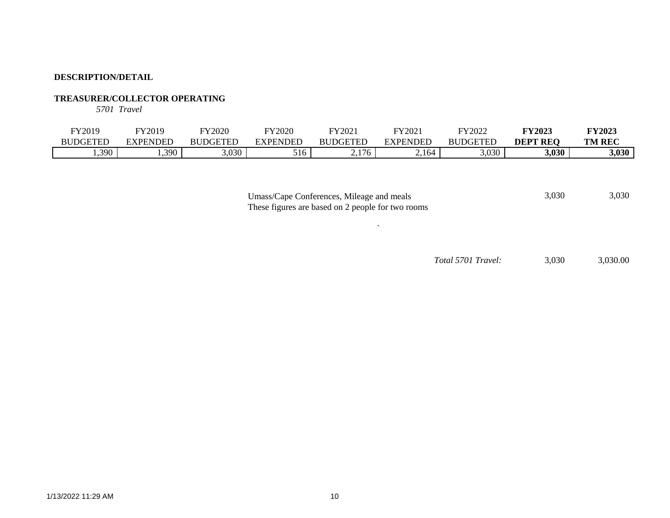### **TREASURER/COLLECTOR OPERATING**

*5701 Travel*

| FY2019          | FY2019   | <b>FY2020</b>   | <b>FY2020</b> | FY2021        | FY2021                                    | FY2022              | <b>FY2023</b>   | <b>FY2023</b> |
|-----------------|----------|-----------------|---------------|---------------|-------------------------------------------|---------------------|-----------------|---------------|
| <b>BUDGETEL</b> | EXPENDED | <b>BUDGETED</b> | YPENDED       | <b>DGETED</b> | EXPENDED                                  | <b>DGETED</b><br>BU | <b>DEPT REQ</b> | <b>TM REC</b> |
| 1,390           | 1,390    | 2.020<br>,,,,,, | 516           | 2,176         | 1 <sub>1</sub><br>I h4<br>$\sim$ . $\sim$ | 3,030               | 3,030           | 3,030         |

 $\sim$ 

| Umass/Cape Conferences, Mileage and meals         | 3,030 | 3.030 |
|---------------------------------------------------|-------|-------|
| These figures are based on 2 people for two rooms |       |       |

*Total 5701 Travel:* 3,030 3,030.00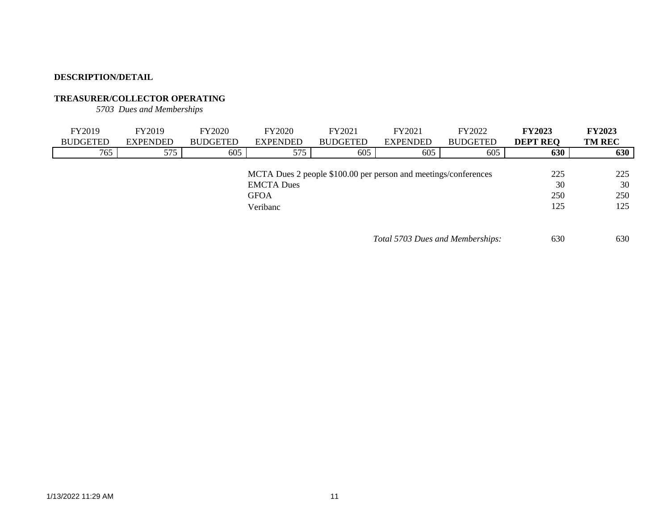# **TREASURER/COLLECTOR OPERATING**

*5703 Dues and Memberships*

| FY2019          | FY2019          | <b>FY2020</b>   | <b>FY2020</b>     | FY2021                                                          | FY2021                           | FY2022          | <b>FY2023</b>   | <b>FY2023</b> |
|-----------------|-----------------|-----------------|-------------------|-----------------------------------------------------------------|----------------------------------|-----------------|-----------------|---------------|
| <b>BUDGETED</b> | <b>EXPENDED</b> | <b>BUDGETED</b> | <b>EXPENDED</b>   | <b>BUDGETED</b>                                                 | <b>EXPENDED</b>                  | <b>BUDGETED</b> | <b>DEPT REQ</b> | <b>TM REC</b> |
| 765             | 575             | 605             | 575               | 605                                                             | 605                              | 605             | 630             | 630           |
|                 |                 |                 |                   |                                                                 |                                  |                 |                 |               |
|                 |                 |                 |                   | MCTA Dues 2 people \$100.00 per person and meetings/conferences |                                  |                 | 225             | 225           |
|                 |                 |                 | <b>EMCTA</b> Dues |                                                                 |                                  |                 | 30              | 30            |
|                 |                 |                 | <b>GFOA</b>       |                                                                 |                                  |                 | 250             | 250           |
|                 |                 |                 | Veribanc          |                                                                 |                                  |                 | 125             | 125           |
|                 |                 |                 |                   |                                                                 |                                  |                 |                 |               |
|                 |                 |                 |                   |                                                                 |                                  |                 |                 |               |
|                 |                 |                 |                   |                                                                 | Total 5703 Dues and Memberships: |                 | 630             | 630           |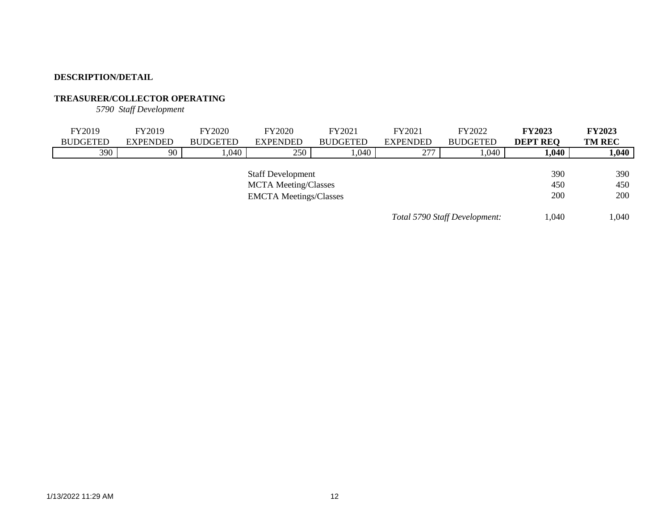# **TREASURER/COLLECTOR OPERATING**

*5790 Staff Development*

| FY2019                        | FY2019          | <b>FY2020</b>   | <b>FY2020</b>            | FY2021          | FY2021          | FY2022          | <b>FY2023</b>   | <b>FY2023</b> |
|-------------------------------|-----------------|-----------------|--------------------------|-----------------|-----------------|-----------------|-----------------|---------------|
| <b>BUDGETED</b>               | <b>EXPENDED</b> | <b>BUDGETED</b> | <b>EXPENDED</b>          | <b>BUDGETED</b> | <b>EXPENDED</b> | <b>BUDGETED</b> | <b>DEPT REQ</b> | <b>TM REC</b> |
| 390                           | 90              | ,040            | 250                      | 1,040           | 277             | 1,040           | 1,040           | 1,040         |
|                               |                 |                 |                          |                 |                 |                 |                 |               |
|                               |                 |                 | <b>Staff Development</b> |                 |                 |                 | 390             | 390           |
| <b>MCTA Meeting/Classes</b>   |                 |                 |                          |                 |                 |                 | 450             | 450           |
| <b>EMCTA Meetings/Classes</b> |                 |                 |                          |                 |                 |                 | 200             | 200           |
|                               |                 |                 |                          |                 |                 |                 |                 |               |
| Total 5790 Staff Development: |                 |                 |                          |                 |                 |                 | 1,040           | 1,040         |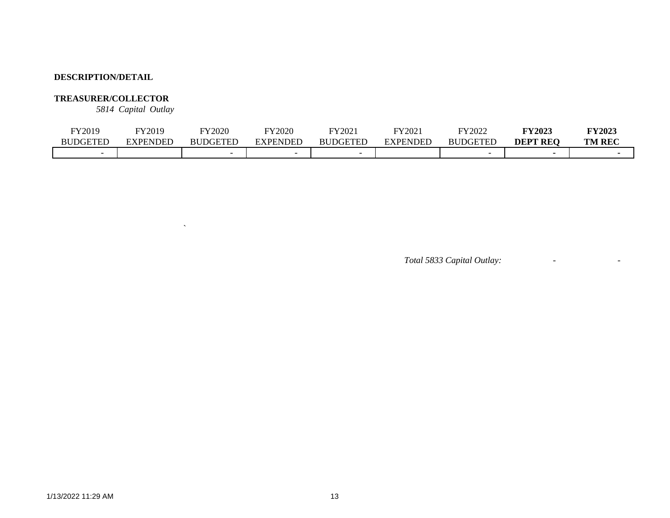# **TREASURER/COLLECTOR**

*5814 Capital Outlay*

 $\hat{\mathbf{v}}$ 

| FY2019          | FY2019   | FY2020          | TY 2020                  | FY202           | FY2021          | FY2022          | <b>FY2023</b>   | FY2023        |
|-----------------|----------|-----------------|--------------------------|-----------------|-----------------|-----------------|-----------------|---------------|
| <b>BUDGETED</b> | EXPENDED | <b>BUDGETED</b> | EXPENDED                 | <b>BUDGETED</b> | <b>EXPENDED</b> | <b>BUDGETED</b> | <b>DEPT REO</b> | <b>TM REC</b> |
|                 |          |                 | $\overline{\phantom{0}}$ |                 |                 |                 |                 |               |

*Total 5833 Capital Outlay:* - -